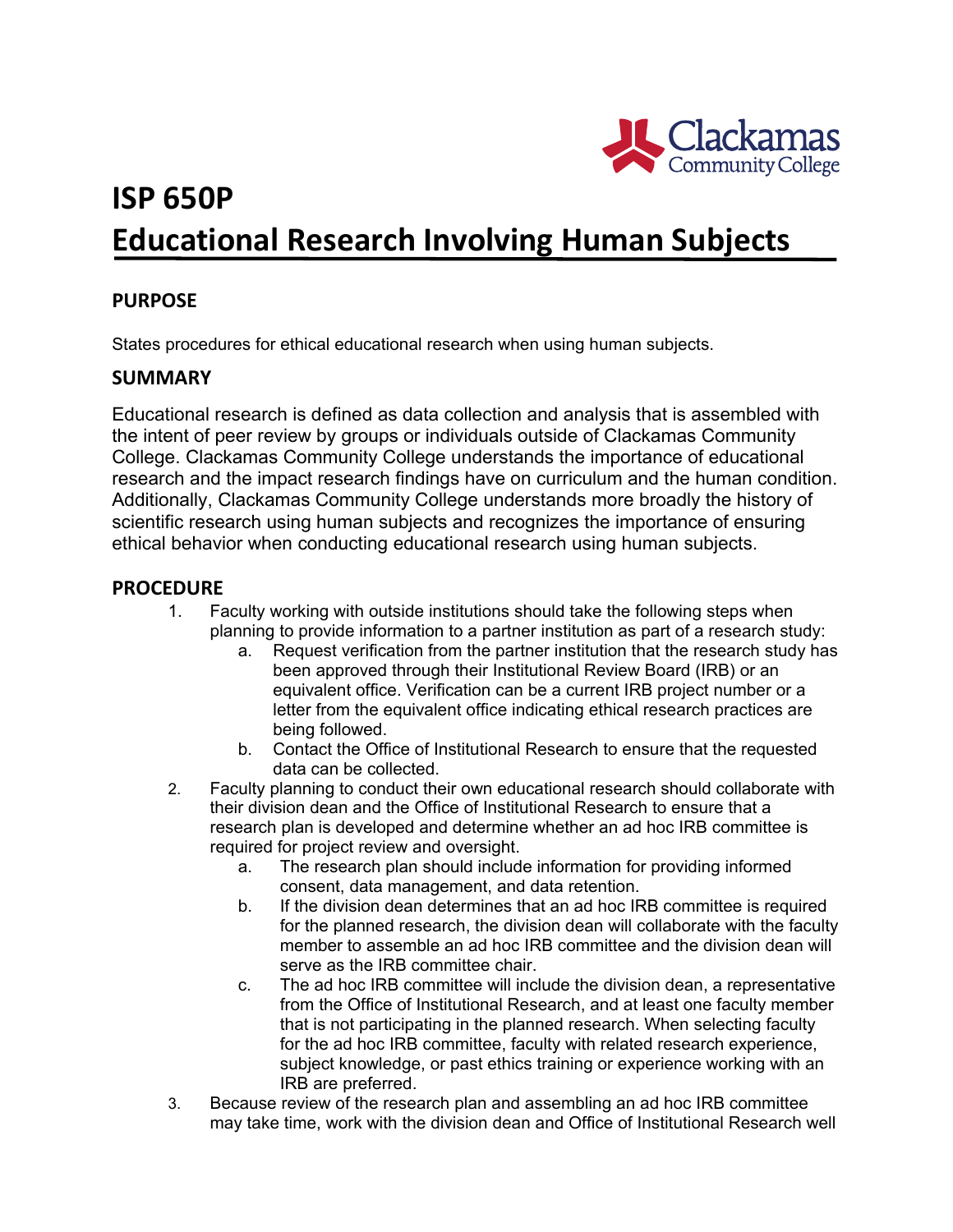

# **ISP 650P Educational Research Involving Human Subjects**

## **PURPOSE**

States procedures for ethical educational research when using human subjects.

### **SUMMARY**

Educational research is defined as data collection and analysis that is assembled with the intent of peer review by groups or individuals outside of Clackamas Community College. Clackamas Community College understands the importance of educational research and the impact research findings have on curriculum and the human condition. Additionally, Clackamas Community College understands more broadly the history of scientific research using human subjects and recognizes the importance of ensuring ethical behavior when conducting educational research using human subjects.

### **PROCEDURE**

- 1. Faculty working with outside institutions should take the following steps when planning to provide information to a partner institution as part of a research study:
	- a. Request verification from the partner institution that the research study has been approved through their Institutional Review Board (IRB) or an equivalent office. Verification can be a current IRB project number or a letter from the equivalent office indicating ethical research practices are being followed.
	- b. Contact the Office of Institutional Research to ensure that the requested data can be collected.
- 2. Faculty planning to conduct their own educational research should collaborate with their division dean and the Office of Institutional Research to ensure that a research plan is developed and determine whether an ad hoc IRB committee is required for project review and oversight.
	- a. The research plan should include information for providing informed consent, data management, and data retention.
	- b. If the division dean determines that an ad hoc IRB committee is required for the planned research, the division dean will collaborate with the faculty member to assemble an ad hoc IRB committee and the division dean will serve as the IRB committee chair.
	- c. The ad hoc IRB committee will include the division dean, a representative from the Office of Institutional Research, and at least one faculty member that is not participating in the planned research. When selecting faculty for the ad hoc IRB committee, faculty with related research experience, subject knowledge, or past ethics training or experience working with an IRB are preferred.
- 3. Because review of the research plan and assembling an ad hoc IRB committee may take time, work with the division dean and Office of Institutional Research well